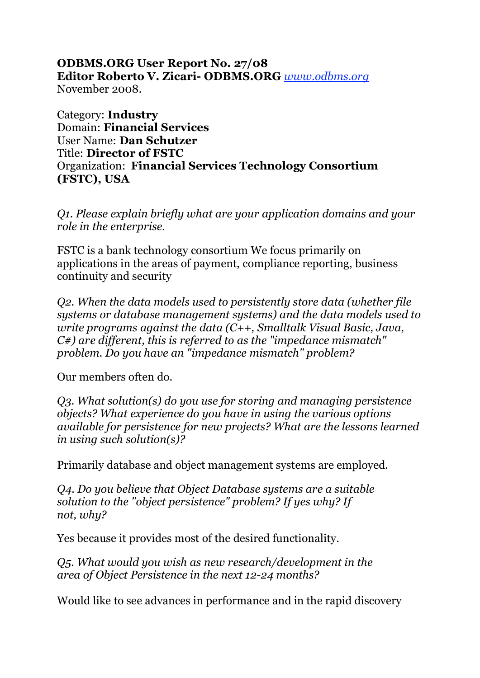## **ODBMS.ORG User Report No. 27/08 Editor Roberto V. Zicari- ODBMS.ORG** *www.odbms.org* November 2008.

Category: **Industry** Domain: **Financial Services** User Name: **Dan Schutzer** Title: **Director of FSTC** Organization: **Financial Services Technology Consortium (FSTC), USA**

*Q1. Please explain briefly what are your application domains and your role in the enterprise.*

FSTC is a bank technology consortium We focus primarily on applications in the areas of payment, compliance reporting, business continuity and security

*Q2. When the data models used to persistently store data (whether file systems or database management systems) and the data models used to write programs against the data (C++, Smalltalk Visual Basic, Java, C#) are different, this is referred to as the "impedance mismatch" problem. Do you have an "impedance mismatch" problem?*

Our members often do.

*Q3. What solution(s) do you use for storing and managing persistence objects? What experience do you have in using the various options available for persistence for new projects? What are the lessons learned in using such solution(s)?*

Primarily database and object management systems are employed.

*Q4. Do you believe that Object Database systems are a suitable solution to the "object persistence" problem? If yes why? If not, why?*

Yes because it provides most of the desired functionality.

*Q5. What would you wish as new research/development in the area of Object Persistence in the next 12-24 months?*

Would like to see advances in performance and in the rapid discovery